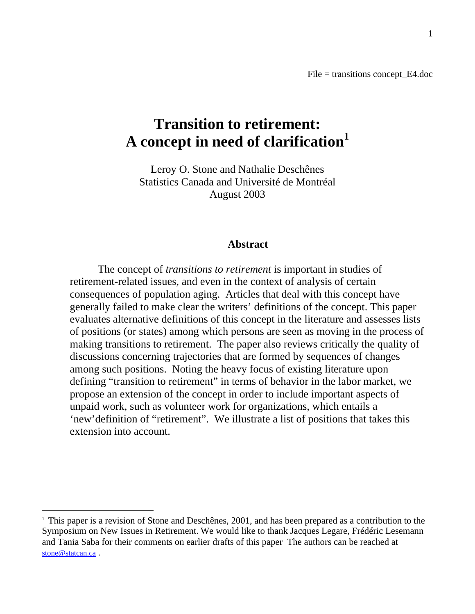File = transitions concept\_E4.doc

# **Transition to retirement: A concept in need of clarification<sup>1</sup>**

Leroy O. Stone and Nathalie Deschênes Statistics Canada and Université de Montréal August 2003

#### **Abstract**

The concept of *transitions to retirement* is important in studies of retirement-related issues, and even in the context of analysis of certain consequences of population aging. Articles that deal with this concept have generally failed to make clear the writers' definitions of the concept. This paper evaluates alternative definitions of this concept in the literature and assesses lists of positions (or states) among which persons are seen as moving in the process of making transitions to retirement. The paper also reviews critically the quality of discussions concerning trajectories that are formed by sequences of changes among such positions. Noting the heavy focus of existing literature upon defining "transition to retirement" in terms of behavior in the labor market, we propose an extension of the concept in order to include important aspects of unpaid work, such as volunteer work for organizations, which entails a 'new'definition of "retirement". We illustrate a list of positions that takes this extension into account.

 $\overline{a}$ 

<sup>&</sup>lt;sup>1</sup> This paper is a revision of Stone and Deschênes, 2001, and has been prepared as a contribution to the Symposium on New Issues in Retirement. We would like to thank Jacques Legare, Frédéric Lesemann and Tania Saba for their comments on earlier drafts of this paper The authors can be reached at stone@statcan.ca.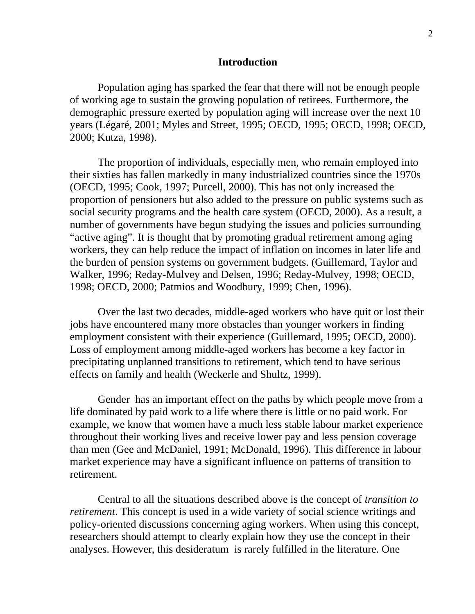# **Introduction**

Population aging has sparked the fear that there will not be enough people of working age to sustain the growing population of retirees. Furthermore, the demographic pressure exerted by population aging will increase over the next 10 years (Légaré, 2001; Myles and Street, 1995; OECD, 1995; OECD, 1998; OECD, 2000; Kutza, 1998).

The proportion of individuals, especially men, who remain employed into their sixties has fallen markedly in many industrialized countries since the 1970s (OECD, 1995; Cook, 1997; Purcell, 2000). This has not only increased the proportion of pensioners but also added to the pressure on public systems such as social security programs and the health care system (OECD, 2000). As a result, a number of governments have begun studying the issues and policies surrounding "active aging". It is thought that by promoting gradual retirement among aging workers, they can help reduce the impact of inflation on incomes in later life and the burden of pension systems on government budgets. (Guillemard, Taylor and Walker, 1996; Reday-Mulvey and Delsen, 1996; Reday-Mulvey, 1998; OECD, 1998; OECD, 2000; Patmios and Woodbury, 1999; Chen, 1996).

Over the last two decades, middle-aged workers who have quit or lost their jobs have encountered many more obstacles than younger workers in finding employment consistent with their experience (Guillemard, 1995; OECD, 2000). Loss of employment among middle-aged workers has become a key factor in precipitating unplanned transitions to retirement, which tend to have serious effects on family and health (Weckerle and Shultz, 1999).

Gender has an important effect on the paths by which people move from a life dominated by paid work to a life where there is little or no paid work. For example, we know that women have a much less stable labour market experience throughout their working lives and receive lower pay and less pension coverage than men (Gee and McDaniel, 1991; McDonald, 1996). This difference in labour market experience may have a significant influence on patterns of transition to retirement.

Central to all the situations described above is the concept of *transition to retirement*. This concept is used in a wide variety of social science writings and policy-oriented discussions concerning aging workers. When using this concept, researchers should attempt to clearly explain how they use the concept in their analyses. However, this desideratum is rarely fulfilled in the literature. One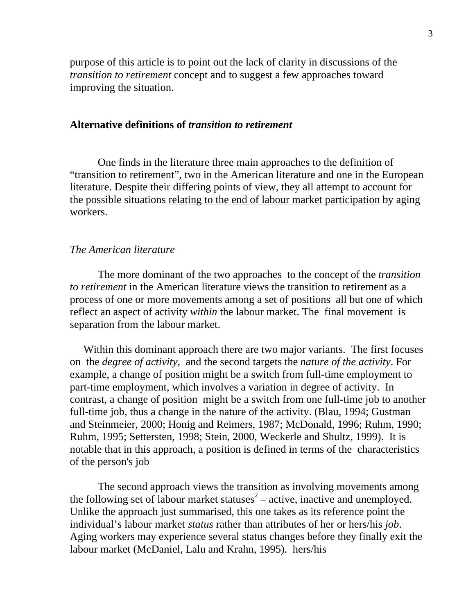purpose of this article is to point out the lack of clarity in discussions of the *transition to retirement* concept and to suggest a few approaches toward improving the situation.

# **Alternative definitions of** *transition to retirement*

One finds in the literature three main approaches to the definition of "transition to retirement", two in the American literature and one in the European literature. Despite their differing points of view, they all attempt to account for the possible situations relating to the end of labour market participation by aging workers.

# *The American literature*

The more dominant of the two approaches to the concept of the *transition to retirement* in the American literature views the transition to retirement as a process of one or more movements among a set of positions all but one of which reflect an aspect of activity *within* the labour market. The final movement is separation from the labour market.

 Within this dominant approach there are two major variants. The first focuses on the *degree of activity*, and the second targets the *nature of the activity*. For example, a change of position might be a switch from full-time employment to part-time employment, which involves a variation in degree of activity. In contrast, a change of position might be a switch from one full-time job to another full-time job, thus a change in the nature of the activity. (Blau, 1994; Gustman and Steinmeier, 2000; Honig and Reimers, 1987; McDonald, 1996; Ruhm, 1990; Ruhm, 1995; Settersten, 1998; Stein, 2000, Weckerle and Shultz, 1999). It is notable that in this approach, a position is defined in terms of the characteristics of the person's job

The second approach views the transition as involving movements among the following set of labour market statuses<sup>2</sup> – active, inactive and unemployed. Unlike the approach just summarised, this one takes as its reference point the individual's labour market *status* rather than attributes of her or hers/his *job*. Aging workers may experience several status changes before they finally exit the labour market (McDaniel, Lalu and Krahn, 1995). hers/his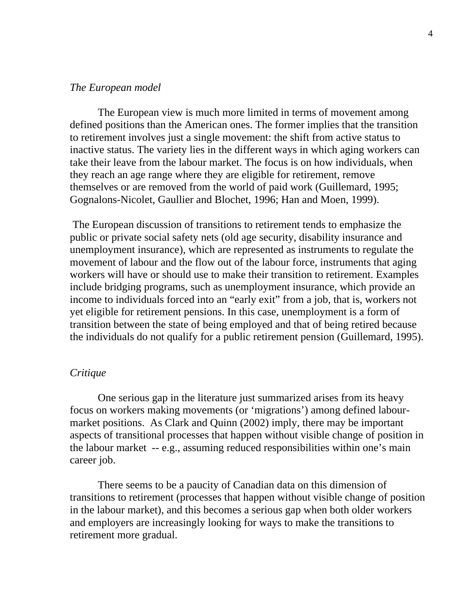#### *The European model*

The European view is much more limited in terms of movement among defined positions than the American ones. The former implies that the transition to retirement involves just a single movement: the shift from active status to inactive status. The variety lies in the different ways in which aging workers can take their leave from the labour market. The focus is on how individuals, when they reach an age range where they are eligible for retirement, remove themselves or are removed from the world of paid work (Guillemard, 1995; Gognalons-Nicolet, Gaullier and Blochet, 1996; Han and Moen, 1999).

 The European discussion of transitions to retirement tends to emphasize the public or private social safety nets (old age security, disability insurance and unemployment insurance), which are represented as instruments to regulate the movement of labour and the flow out of the labour force, instruments that aging workers will have or should use to make their transition to retirement. Examples include bridging programs, such as unemployment insurance, which provide an income to individuals forced into an "early exit" from a job, that is, workers not yet eligible for retirement pensions. In this case, unemployment is a form of transition between the state of being employed and that of being retired because the individuals do not qualify for a public retirement pension (Guillemard, 1995).

# *Critique*

One serious gap in the literature just summarized arises from its heavy focus on workers making movements (or 'migrations') among defined labourmarket positions. As Clark and Quinn (2002) imply, there may be important aspects of transitional processes that happen without visible change of position in the labour market -- e.g., assuming reduced responsibilities within one's main career job.

There seems to be a paucity of Canadian data on this dimension of transitions to retirement (processes that happen without visible change of position in the labour market), and this becomes a serious gap when both older workers and employers are increasingly looking for ways to make the transitions to retirement more gradual.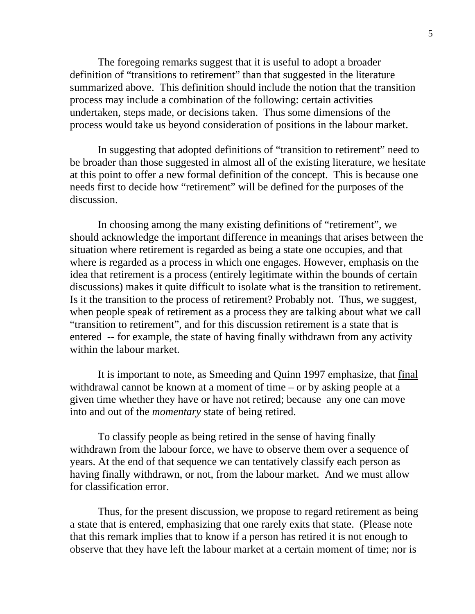The foregoing remarks suggest that it is useful to adopt a broader definition of "transitions to retirement" than that suggested in the literature summarized above. This definition should include the notion that the transition process may include a combination of the following: certain activities undertaken, steps made, or decisions taken. Thus some dimensions of the process would take us beyond consideration of positions in the labour market.

In suggesting that adopted definitions of "transition to retirement" need to be broader than those suggested in almost all of the existing literature, we hesitate at this point to offer a new formal definition of the concept. This is because one needs first to decide how "retirement" will be defined for the purposes of the discussion.

In choosing among the many existing definitions of "retirement", we should acknowledge the important difference in meanings that arises between the situation where retirement is regarded as being a state one occupies, and that where is regarded as a process in which one engages. However, emphasis on the idea that retirement is a process (entirely legitimate within the bounds of certain discussions) makes it quite difficult to isolate what is the transition to retirement. Is it the transition to the process of retirement? Probably not. Thus, we suggest, when people speak of retirement as a process they are talking about what we call "transition to retirement", and for this discussion retirement is a state that is entered -- for example, the state of having finally withdrawn from any activity within the labour market.

It is important to note, as Smeeding and Quinn 1997 emphasize, that final withdrawal cannot be known at a moment of time – or by asking people at a given time whether they have or have not retired; because any one can move into and out of the *momentary* state of being retired.

To classify people as being retired in the sense of having finally withdrawn from the labour force, we have to observe them over a sequence of years. At the end of that sequence we can tentatively classify each person as having finally withdrawn, or not, from the labour market. And we must allow for classification error.

Thus, for the present discussion, we propose to regard retirement as being a state that is entered, emphasizing that one rarely exits that state. (Please note that this remark implies that to know if a person has retired it is not enough to observe that they have left the labour market at a certain moment of time; nor is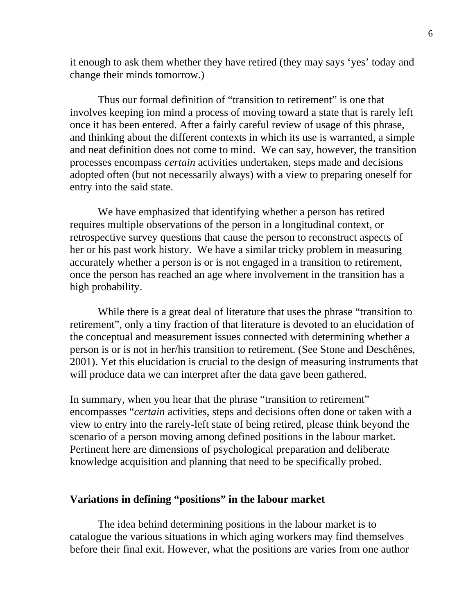it enough to ask them whether they have retired (they may says 'yes' today and change their minds tomorrow.)

Thus our formal definition of "transition to retirement" is one that involves keeping ion mind a process of moving toward a state that is rarely left once it has been entered. After a fairly careful review of usage of this phrase, and thinking about the different contexts in which its use is warranted, a simple and neat definition does not come to mind. We can say, however, the transition processes encompass *certain* activities undertaken, steps made and decisions adopted often (but not necessarily always) with a view to preparing oneself for entry into the said state.

We have emphasized that identifying whether a person has retired requires multiple observations of the person in a longitudinal context, or retrospective survey questions that cause the person to reconstruct aspects of her or his past work history. We have a similar tricky problem in measuring accurately whether a person is or is not engaged in a transition to retirement, once the person has reached an age where involvement in the transition has a high probability.

While there is a great deal of literature that uses the phrase "transition to retirement", only a tiny fraction of that literature is devoted to an elucidation of the conceptual and measurement issues connected with determining whether a person is or is not in her/his transition to retirement. (See Stone and Deschênes, 2001). Yet this elucidation is crucial to the design of measuring instruments that will produce data we can interpret after the data gave been gathered.

In summary, when you hear that the phrase "transition to retirement" encompasses "*certain* activities, steps and decisions often done or taken with a view to entry into the rarely-left state of being retired, please think beyond the scenario of a person moving among defined positions in the labour market. Pertinent here are dimensions of psychological preparation and deliberate knowledge acquisition and planning that need to be specifically probed.

# **Variations in defining "positions" in the labour market**

The idea behind determining positions in the labour market is to catalogue the various situations in which aging workers may find themselves before their final exit. However, what the positions are varies from one author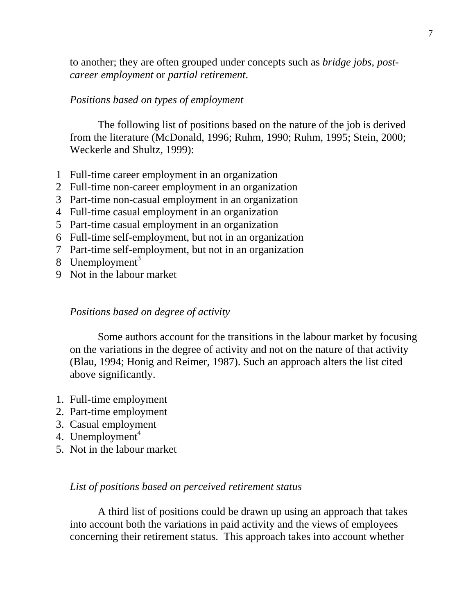to another; they are often grouped under concepts such as *bridge jobs*, *postcareer employment* or *partial retirement*.

# *Positions based on types of employment*

The following list of positions based on the nature of the job is derived from the literature (McDonald, 1996; Ruhm, 1990; Ruhm, 1995; Stein, 2000; Weckerle and Shultz, 1999):

- 1 Full-time career employment in an organization
- 2 Full-time non-career employment in an organization
- 3 Part-time non-casual employment in an organization
- 4 Full-time casual employment in an organization
- 5 Part-time casual employment in an organization
- 6 Full-time self-employment, but not in an organization
- 7 Part-time self-employment, but not in an organization
- 8 Unemployment<sup>3</sup>
- 9 Not in the labour market

## *Positions based on degree of activity*

Some authors account for the transitions in the labour market by focusing on the variations in the degree of activity and not on the nature of that activity (Blau, 1994; Honig and Reimer, 1987). Such an approach alters the list cited above significantly.

- 1. Full-time employment
- 2. Part-time employment
- 3. Casual employment
- 4. Unemployment $4$
- 5. Not in the labour market

# *List of positions based on perceived retirement status*

A third list of positions could be drawn up using an approach that takes into account both the variations in paid activity and the views of employees concerning their retirement status. This approach takes into account whether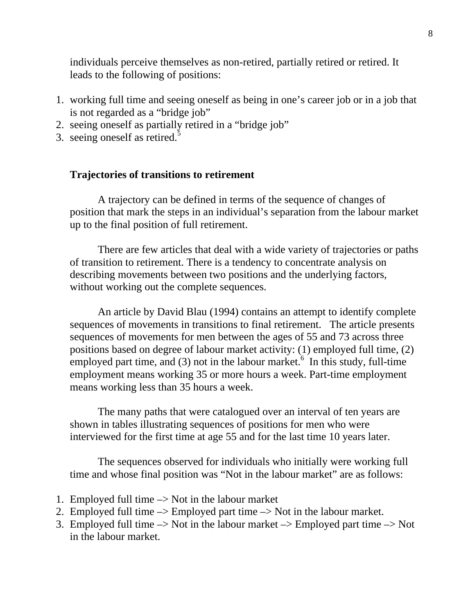individuals perceive themselves as non-retired, partially retired or retired. It leads to the following of positions:

- 1. working full time and seeing oneself as being in one's career job or in a job that is not regarded as a "bridge job"
- 2. seeing oneself as partially retired in a "bridge job"
- 3. seeing oneself as retired.<sup>5</sup>

# **Trajectories of transitions to retirement**

A trajectory can be defined in terms of the sequence of changes of position that mark the steps in an individual's separation from the labour market up to the final position of full retirement.

There are few articles that deal with a wide variety of trajectories or paths of transition to retirement. There is a tendency to concentrate analysis on describing movements between two positions and the underlying factors, without working out the complete sequences.

An article by David Blau (1994) contains an attempt to identify complete sequences of movements in transitions to final retirement. The article presents sequences of movements for men between the ages of 55 and 73 across three positions based on degree of labour market activity: (1) employed full time, (2) employed part time, and (3) not in the labour market.<sup>6</sup> In this study, full-time employment means working 35 or more hours a week. Part-time employment means working less than 35 hours a week.

The many paths that were catalogued over an interval of ten years are shown in tables illustrating sequences of positions for men who were interviewed for the first time at age 55 and for the last time 10 years later.

The sequences observed for individuals who initially were working full time and whose final position was "Not in the labour market" are as follows:

- 1. Employed full time  $\rightarrow$  Not in the labour market
- 2. Employed full time –> Employed part time –> Not in the labour market.
- 3. Employed full time  $\rightarrow$  Not in the labour market  $\rightarrow$  Employed part time  $\rightarrow$  Not in the labour market.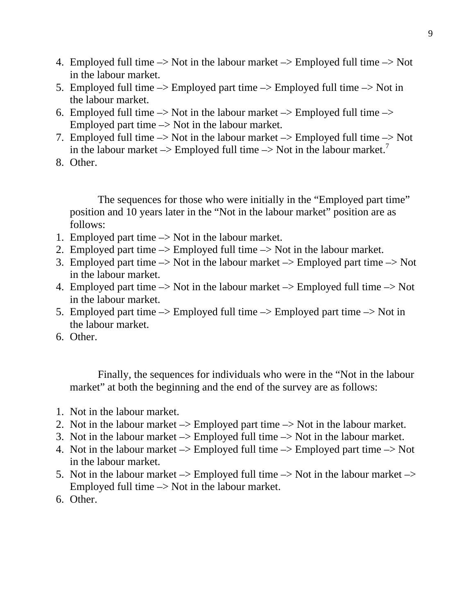- 4. Employed full time  $\rightarrow$  Not in the labour market  $\rightarrow$  Employed full time  $\rightarrow$  Not in the labour market.
- 5. Employed full time  $\rightarrow$  Employed part time  $\rightarrow$  Employed full time  $\rightarrow$  Not in the labour market.
- 6. Employed full time  $\rightarrow$  Not in the labour market  $\rightarrow$  Employed full time  $\rightarrow$ Employed part time  $\rightarrow$  Not in the labour market.
- 7. Employed full time  $\rightarrow$  Not in the labour market  $\rightarrow$  Employed full time  $\rightarrow$  Not in the labour market  $\rightarrow$  Employed full time  $\rightarrow$  Not in the labour market.<sup>7</sup>
- 8. Other.

The sequences for those who were initially in the "Employed part time" position and 10 years later in the "Not in the labour market" position are as follows:

- 1. Employed part time  $\rightarrow$  Not in the labour market.
- 2. Employed part time –> Employed full time –> Not in the labour market.
- 3. Employed part time  $\rightarrow$  Not in the labour market  $\rightarrow$  Employed part time  $\rightarrow$  Not in the labour market.
- 4. Employed part time  $\rightarrow$  Not in the labour market  $\rightarrow$  Employed full time  $\rightarrow$  Not in the labour market.
- 5. Employed part time  $\rightarrow$  Employed full time  $\rightarrow$  Employed part time  $\rightarrow$  Not in the labour market.
- 6. Other.

Finally, the sequences for individuals who were in the "Not in the labour market" at both the beginning and the end of the survey are as follows:

- 1. Not in the labour market.
- 2. Not in the labour market  $\rightarrow$  Employed part time  $\rightarrow$  Not in the labour market.
- 3. Not in the labour market  $\rightarrow$  Employed full time  $\rightarrow$  Not in the labour market.
- 4. Not in the labour market  $\rightarrow$  Employed full time  $\rightarrow$  Employed part time  $\rightarrow$  Not in the labour market.
- 5. Not in the labour market  $\rightarrow$  Employed full time  $\rightarrow$  Not in the labour market  $\rightarrow$ Employed full time  $\rightarrow$  Not in the labour market.
- 6. Other.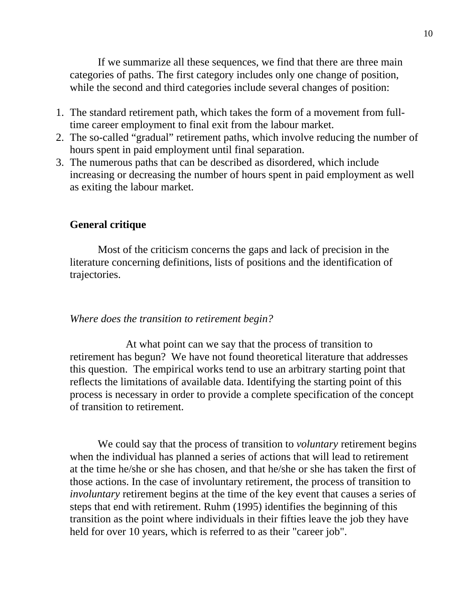If we summarize all these sequences, we find that there are three main categories of paths. The first category includes only one change of position, while the second and third categories include several changes of position:

- 1. The standard retirement path, which takes the form of a movement from fulltime career employment to final exit from the labour market.
- 2. The so-called "gradual" retirement paths, which involve reducing the number of hours spent in paid employment until final separation.
- 3. The numerous paths that can be described as disordered, which include increasing or decreasing the number of hours spent in paid employment as well as exiting the labour market.

# **General critique**

Most of the criticism concerns the gaps and lack of precision in the literature concerning definitions, lists of positions and the identification of trajectories.

#### *Where does the transition to retirement begin?*

At what point can we say that the process of transition to retirement has begun? We have not found theoretical literature that addresses this question. The empirical works tend to use an arbitrary starting point that reflects the limitations of available data. Identifying the starting point of this process is necessary in order to provide a complete specification of the concept of transition to retirement.

We could say that the process of transition to *voluntary* retirement begins when the individual has planned a series of actions that will lead to retirement at the time he/she or she has chosen, and that he/she or she has taken the first of those actions. In the case of involuntary retirement, the process of transition to *involuntary* retirement begins at the time of the key event that causes a series of steps that end with retirement. Ruhm (1995) identifies the beginning of this transition as the point where individuals in their fifties leave the job they have held for over 10 years, which is referred to as their "career job".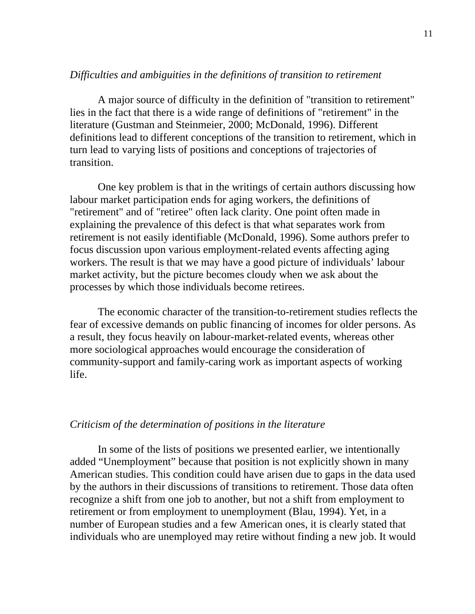## *Difficulties and ambiguities in the definitions of transition to retirement*

A major source of difficulty in the definition of "transition to retirement" lies in the fact that there is a wide range of definitions of "retirement" in the literature (Gustman and Steinmeier, 2000; McDonald, 1996). Different definitions lead to different conceptions of the transition to retirement, which in turn lead to varying lists of positions and conceptions of trajectories of transition.

One key problem is that in the writings of certain authors discussing how labour market participation ends for aging workers, the definitions of "retirement" and of "retiree" often lack clarity. One point often made in explaining the prevalence of this defect is that what separates work from retirement is not easily identifiable (McDonald, 1996). Some authors prefer to focus discussion upon various employment-related events affecting aging workers. The result is that we may have a good picture of individuals' labour market activity, but the picture becomes cloudy when we ask about the processes by which those individuals become retirees.

The economic character of the transition-to-retirement studies reflects the fear of excessive demands on public financing of incomes for older persons. As a result, they focus heavily on labour-market-related events, whereas other more sociological approaches would encourage the consideration of community-support and family-caring work as important aspects of working life.

# *Criticism of the determination of positions in the literature*

In some of the lists of positions we presented earlier, we intentionally added "Unemployment" because that position is not explicitly shown in many American studies. This condition could have arisen due to gaps in the data used by the authors in their discussions of transitions to retirement. Those data often recognize a shift from one job to another, but not a shift from employment to retirement or from employment to unemployment (Blau, 1994). Yet, in a number of European studies and a few American ones, it is clearly stated that individuals who are unemployed may retire without finding a new job. It would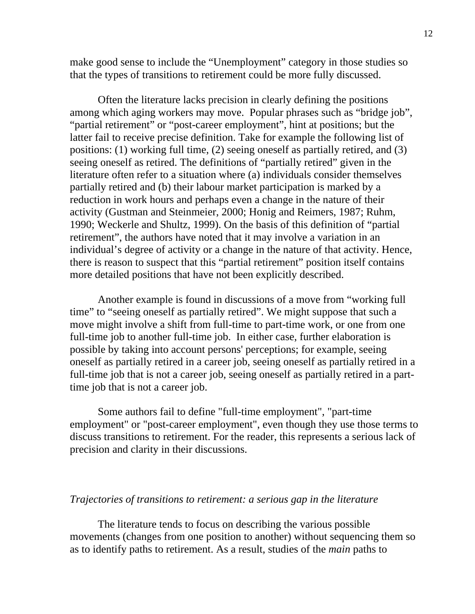make good sense to include the "Unemployment" category in those studies so that the types of transitions to retirement could be more fully discussed.

Often the literature lacks precision in clearly defining the positions among which aging workers may move. Popular phrases such as "bridge job", "partial retirement" or "post-career employment", hint at positions; but the latter fail to receive precise definition. Take for example the following list of positions: (1) working full time, (2) seeing oneself as partially retired, and (3) seeing oneself as retired. The definitions of "partially retired" given in the literature often refer to a situation where (a) individuals consider themselves partially retired and (b) their labour market participation is marked by a reduction in work hours and perhaps even a change in the nature of their activity (Gustman and Steinmeier, 2000; Honig and Reimers, 1987; Ruhm, 1990; Weckerle and Shultz, 1999). On the basis of this definition of "partial retirement", the authors have noted that it may involve a variation in an individual's degree of activity or a change in the nature of that activity. Hence, there is reason to suspect that this "partial retirement" position itself contains more detailed positions that have not been explicitly described.

Another example is found in discussions of a move from "working full time" to "seeing oneself as partially retired". We might suppose that such a move might involve a shift from full-time to part-time work, or one from one full-time job to another full-time job. In either case, further elaboration is possible by taking into account persons' perceptions; for example, seeing oneself as partially retired in a career job, seeing oneself as partially retired in a full-time job that is not a career job, seeing oneself as partially retired in a parttime job that is not a career job.

Some authors fail to define "full-time employment", "part-time employment" or "post-career employment", even though they use those terms to discuss transitions to retirement. For the reader, this represents a serious lack of precision and clarity in their discussions.

#### *Trajectories of transitions to retirement: a serious gap in the literature*

The literature tends to focus on describing the various possible movements (changes from one position to another) without sequencing them so as to identify paths to retirement. As a result, studies of the *main* paths to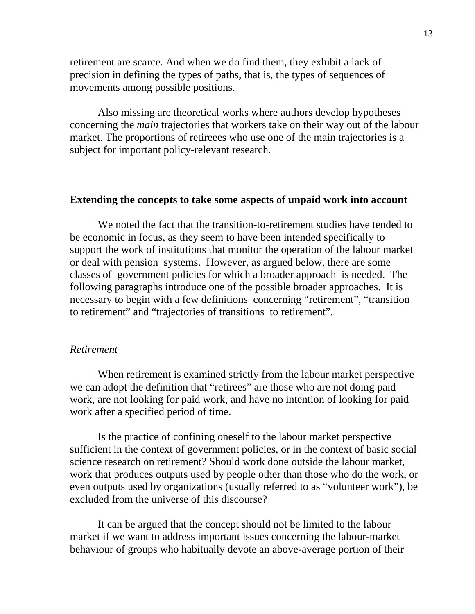retirement are scarce. And when we do find them, they exhibit a lack of precision in defining the types of paths, that is, the types of sequences of movements among possible positions.

Also missing are theoretical works where authors develop hypotheses concerning the *main* trajectories that workers take on their way out of the labour market. The proportions of retireees who use one of the main trajectories is a subject for important policy-relevant research.

#### **Extending the concepts to take some aspects of unpaid work into account**

We noted the fact that the transition-to-retirement studies have tended to be economic in focus, as they seem to have been intended specifically to support the work of institutions that monitor the operation of the labour market or deal with pension systems. However, as argued below, there are some classes of government policies for which a broader approach is needed. The following paragraphs introduce one of the possible broader approaches. It is necessary to begin with a few definitions concerning "retirement", "transition to retirement" and "trajectories of transitions to retirement".

#### *Retirement*

When retirement is examined strictly from the labour market perspective we can adopt the definition that "retirees" are those who are not doing paid work, are not looking for paid work, and have no intention of looking for paid work after a specified period of time.

Is the practice of confining oneself to the labour market perspective sufficient in the context of government policies, or in the context of basic social science research on retirement? Should work done outside the labour market, work that produces outputs used by people other than those who do the work, or even outputs used by organizations (usually referred to as "volunteer work"), be excluded from the universe of this discourse?

It can be argued that the concept should not be limited to the labour market if we want to address important issues concerning the labour-market behaviour of groups who habitually devote an above-average portion of their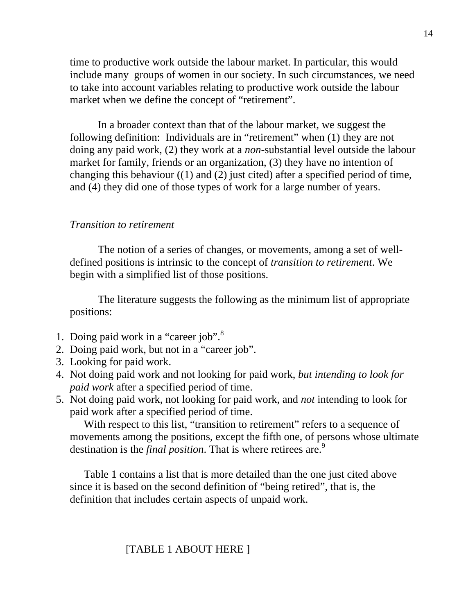time to productive work outside the labour market. In particular, this would include many groups of women in our society. In such circumstances, we need to take into account variables relating to productive work outside the labour market when we define the concept of "retirement".

In a broader context than that of the labour market, we suggest the following definition: Individuals are in "retirement" when (1) they are not doing any paid work, (2) they work at a *non*-substantial level outside the labour market for family, friends or an organization, (3) they have no intention of changing this behaviour ((1) and (2) just cited) after a specified period of time, and (4) they did one of those types of work for a large number of years.

## *Transition to retirement*

The notion of a series of changes, or movements, among a set of welldefined positions is intrinsic to the concept of *transition to retirement*. We begin with a simplified list of those positions.

The literature suggests the following as the minimum list of appropriate positions:

- 1. Doing paid work in a "career job".<sup>8</sup>
- 2. Doing paid work, but not in a "career job".
- 3. Looking for paid work.
- 4. Not doing paid work and not looking for paid work, *but intending to look for paid work* after a specified period of time.
- 5. Not doing paid work, not looking for paid work, and *not* intending to look for paid work after a specified period of time.

With respect to this list, "transition to retirement" refers to a sequence of movements among the positions, except the fifth one, of persons whose ultimate destination is the *final position*. That is where retirees are.<sup>9</sup>

Table 1 contains a list that is more detailed than the one just cited above since it is based on the second definition of "being retired", that is, the definition that includes certain aspects of unpaid work.

# [TABLE 1 ABOUT HERE ]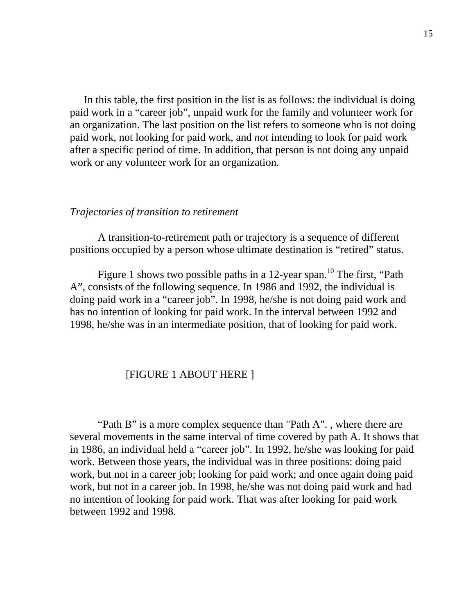In this table, the first position in the list is as follows: the individual is doing paid work in a "career job", unpaid work for the family and volunteer work for an organization. The last position on the list refers to someone who is not doing paid work, not looking for paid work, and *not* intending to look for paid work after a specific period of time. In addition, that person is not doing any unpaid work or any volunteer work for an organization.

#### *Trajectories of transition to retirement*

A transition-to-retirement path or trajectory is a sequence of different positions occupied by a person whose ultimate destination is "retired" status.

Figure 1 shows two possible paths in a 12-year span.<sup>10</sup> The first, "Path" A", consists of the following sequence. In 1986 and 1992, the individual is doing paid work in a "career job". In 1998, he/she is not doing paid work and has no intention of looking for paid work. In the interval between 1992 and 1998, he/she was in an intermediate position, that of looking for paid work.

# [FIGURE 1 ABOUT HERE ]

"Path B" is a more complex sequence than "Path A"., where there are several movements in the same interval of time covered by path A. It shows that in 1986, an individual held a "career job". In 1992, he/she was looking for paid work. Between those years, the individual was in three positions: doing paid work, but not in a career job; looking for paid work; and once again doing paid work, but not in a career job. In 1998, he/she was not doing paid work and had no intention of looking for paid work. That was after looking for paid work between 1992 and 1998.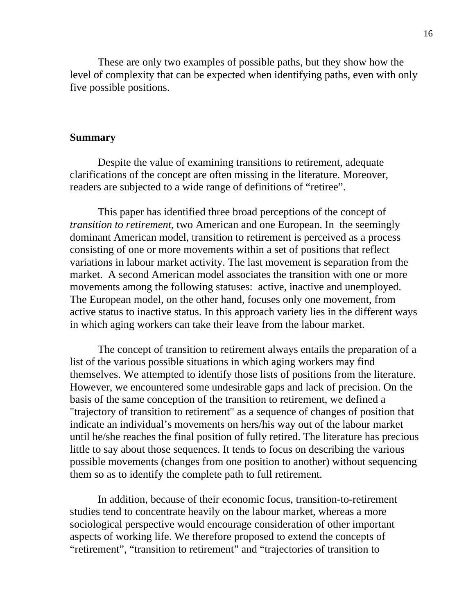These are only two examples of possible paths, but they show how the level of complexity that can be expected when identifying paths, even with only five possible positions.

#### **Summary**

Despite the value of examining transitions to retirement, adequate clarifications of the concept are often missing in the literature. Moreover, readers are subjected to a wide range of definitions of "retiree".

This paper has identified three broad perceptions of the concept of *transition to retirement*, two American and one European. In the seemingly dominant American model, transition to retirement is perceived as a process consisting of one or more movements within a set of positions that reflect variations in labour market activity. The last movement is separation from the market. A second American model associates the transition with one or more movements among the following statuses: active, inactive and unemployed. The European model, on the other hand, focuses only one movement, from active status to inactive status. In this approach variety lies in the different ways in which aging workers can take their leave from the labour market.

The concept of transition to retirement always entails the preparation of a list of the various possible situations in which aging workers may find themselves. We attempted to identify those lists of positions from the literature. However, we encountered some undesirable gaps and lack of precision. On the basis of the same conception of the transition to retirement, we defined a "trajectory of transition to retirement" as a sequence of changes of position that indicate an individual's movements on hers/his way out of the labour market until he/she reaches the final position of fully retired. The literature has precious little to say about those sequences. It tends to focus on describing the various possible movements (changes from one position to another) without sequencing them so as to identify the complete path to full retirement.

In addition, because of their economic focus, transition-to-retirement studies tend to concentrate heavily on the labour market, whereas a more sociological perspective would encourage consideration of other important aspects of working life. We therefore proposed to extend the concepts of "retirement", "transition to retirement" and "trajectories of transition to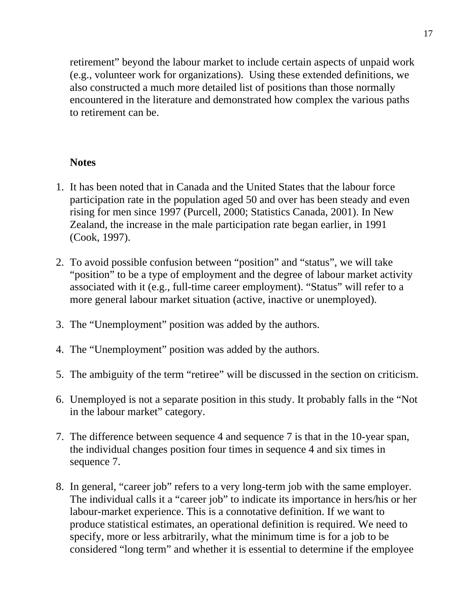retirement" beyond the labour market to include certain aspects of unpaid work (e.g., volunteer work for organizations). Using these extended definitions, we also constructed a much more detailed list of positions than those normally encountered in the literature and demonstrated how complex the various paths to retirement can be.

# **Notes**

- 1. It has been noted that in Canada and the United States that the labour force participation rate in the population aged 50 and over has been steady and even rising for men since 1997 (Purcell, 2000; Statistics Canada, 2001). In New Zealand, the increase in the male participation rate began earlier, in 1991 (Cook, 1997).
- 2. To avoid possible confusion between "position" and "status", we will take "position" to be a type of employment and the degree of labour market activity associated with it (e.g., full-time career employment). "Status" will refer to a more general labour market situation (active, inactive or unemployed).
- 3. The "Unemployment" position was added by the authors.
- 4. The "Unemployment" position was added by the authors.
- 5. The ambiguity of the term "retiree" will be discussed in the section on criticism.
- 6. Unemployed is not a separate position in this study. It probably falls in the "Not in the labour market" category.
- 7. The difference between sequence 4 and sequence 7 is that in the 10-year span, the individual changes position four times in sequence 4 and six times in sequence 7.
- 8. In general, "career job" refers to a very long-term job with the same employer. The individual calls it a "career job" to indicate its importance in hers/his or her labour-market experience. This is a connotative definition. If we want to produce statistical estimates, an operational definition is required. We need to specify, more or less arbitrarily, what the minimum time is for a job to be considered "long term" and whether it is essential to determine if the employee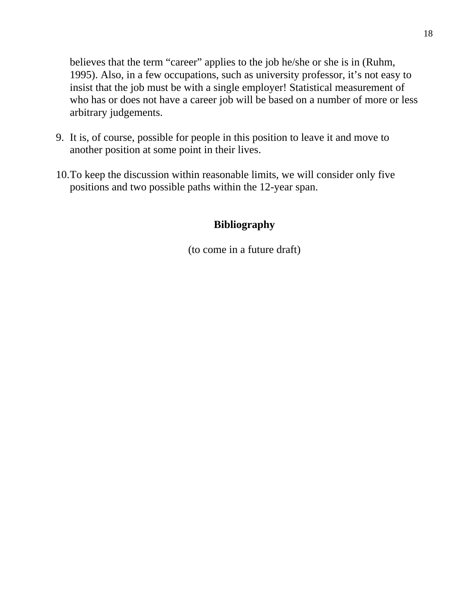believes that the term "career" applies to the job he/she or she is in (Ruhm, 1995). Also, in a few occupations, such as university professor, it's not easy to insist that the job must be with a single employer! Statistical measurement of who has or does not have a career job will be based on a number of more or less arbitrary judgements.

- 9. It is, of course, possible for people in this position to leave it and move to another position at some point in their lives.
- 10.To keep the discussion within reasonable limits, we will consider only five positions and two possible paths within the 12-year span.

# **Bibliography**

(to come in a future draft)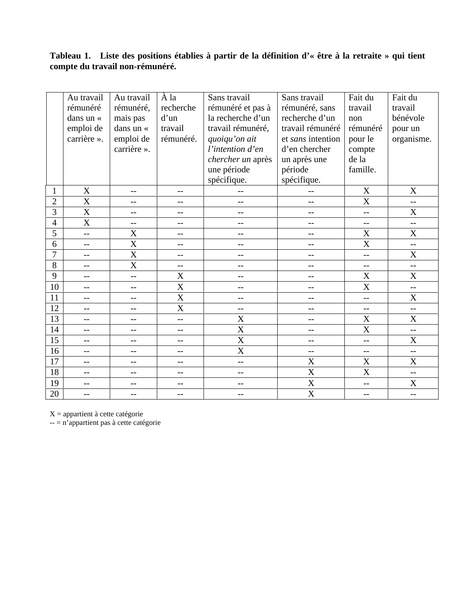# **Tableau 1. Liste des positions établies à partir de la définition d'« être à la retraite » qui tient compte du travail non-rémunéré.**

|                | Au travail<br>rémunéré<br>dans un «<br>emploi de<br>carrière ». | Au travail<br>rémunéré,<br>mais pas<br>dans un «<br>emploi de<br>carrière ». | À la<br>recherche<br>d'un<br>travail<br>rémunéré. | Sans travail<br>rémunéré et pas à<br>la recherche d'un<br>travail rémunéré,<br>quoiqu'on ait<br>l'intention d'en<br>chercher un après<br>une période<br>spécifique. | Sans travail<br>rémunéré, sans<br>recherche d'un<br>travail rémunéré<br>et sans intention<br>d'en chercher<br>un après une<br>période<br>spécifique. | Fait du<br>travail<br>non<br>rémunéré<br>pour le<br>compte<br>de la<br>famille. | Fait du<br>travail<br>bénévole<br>pour un<br>organisme. |
|----------------|-----------------------------------------------------------------|------------------------------------------------------------------------------|---------------------------------------------------|---------------------------------------------------------------------------------------------------------------------------------------------------------------------|------------------------------------------------------------------------------------------------------------------------------------------------------|---------------------------------------------------------------------------------|---------------------------------------------------------|
| $\mathbf{1}$   | $\boldsymbol{\mathrm{X}}$                                       | $-$                                                                          | $-$                                               | --                                                                                                                                                                  | $-$                                                                                                                                                  | $\mathbf X$                                                                     | $\mathbf X$                                             |
| $\overline{c}$ | $\overline{\text{X}}$                                           | $-$                                                                          | $=$                                               | $\overline{a}$                                                                                                                                                      | $-$                                                                                                                                                  | $\overline{\text{X}}$                                                           | --                                                      |
| 3              | X                                                               | $-$                                                                          | $\overline{a}$                                    | --                                                                                                                                                                  | --                                                                                                                                                   | $-$                                                                             | $\mathbf X$                                             |
| $\overline{4}$ | $\overline{\text{X}}$                                           | --                                                                           | $-$                                               | --                                                                                                                                                                  | $-$                                                                                                                                                  | --                                                                              | $-$                                                     |
| 5              | <u></u>                                                         | X                                                                            | $-$                                               | --                                                                                                                                                                  | --                                                                                                                                                   | X                                                                               | $\boldsymbol{X}$                                        |
| 6              | $-$                                                             | $\overline{\text{X}}$                                                        | $-$                                               | --                                                                                                                                                                  | --                                                                                                                                                   | $\overline{\text{X}}$                                                           | --                                                      |
| 7              | $-$                                                             | $\overline{\text{X}}$                                                        | $-$                                               | $-$                                                                                                                                                                 | --                                                                                                                                                   | $-$                                                                             | X                                                       |
| $8\,$          | $-$                                                             | $\mathbf X$                                                                  | --                                                | --                                                                                                                                                                  | $-$                                                                                                                                                  | $\mathrel{{-}-}$                                                                | $-$                                                     |
| 9              | $-$                                                             | $\equiv$                                                                     | X                                                 | $-$                                                                                                                                                                 | $-$                                                                                                                                                  | $\mathbf X$                                                                     | X                                                       |
| 10             | $\overline{a}$                                                  | $-$                                                                          | $\overline{X}$                                    | $-$                                                                                                                                                                 | $-$                                                                                                                                                  | $\overline{\text{X}}$                                                           | $-$                                                     |
| 11             | $-$                                                             | $-$                                                                          | X                                                 | --                                                                                                                                                                  | --                                                                                                                                                   | $-$                                                                             | $\boldsymbol{\mathrm{X}}$                               |
| 12             | $\overline{a}$                                                  | $-$                                                                          | X                                                 | --                                                                                                                                                                  | --                                                                                                                                                   | $-$                                                                             | $-$                                                     |
| 13             | $\overline{a}$                                                  | $-$                                                                          | --                                                | $\overline{\text{X}}$                                                                                                                                               | $-$                                                                                                                                                  | $\overline{\text{X}}$                                                           | $\mathbf X$                                             |
| 14             | --                                                              | $-$                                                                          | $-$                                               | $\overline{\text{X}}$                                                                                                                                               | --                                                                                                                                                   | $\overline{\text{X}}$                                                           | --                                                      |
| 15             | $-$                                                             | $-$                                                                          | --                                                | X                                                                                                                                                                   | $-$                                                                                                                                                  | $-$                                                                             | $\mathbf X$                                             |
| 16             | $\overline{a}$                                                  | $-1$                                                                         | $-$                                               | $\overline{\text{X}}$                                                                                                                                               | $-$                                                                                                                                                  | --                                                                              | $\overline{a}$                                          |
| 17             | $-$                                                             | $- -$                                                                        | $-$                                               | $-$                                                                                                                                                                 | $\boldsymbol{\mathrm{X}}$                                                                                                                            | $\boldsymbol{\mathrm{X}}$                                                       | $\mathbf X$                                             |
| 18             | $-$                                                             | $-$                                                                          | $-$                                               | --                                                                                                                                                                  | $\overline{\text{X}}$                                                                                                                                | $\overline{\text{X}}$                                                           | --                                                      |
| 19             | $-$                                                             | $-$                                                                          | $-$                                               | $-$                                                                                                                                                                 | $\overline{\text{X}}$                                                                                                                                | $\overline{a}$                                                                  | $\overline{X}$                                          |
| 20             | $\overline{a}$                                                  | $-$                                                                          | $-$                                               | $-$                                                                                                                                                                 | X                                                                                                                                                    | $\overline{a}$                                                                  | $\overline{a}$                                          |

 $X =$  appartient à cette catégorie

-- = n'appartient pas à cette catégorie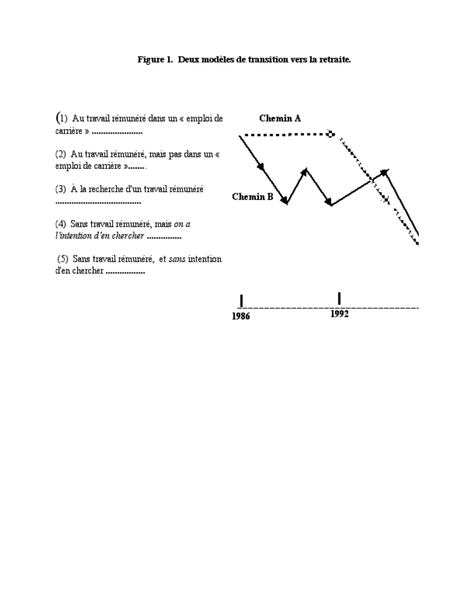# Figure 1. Deux modèles de transition vers la retraite.